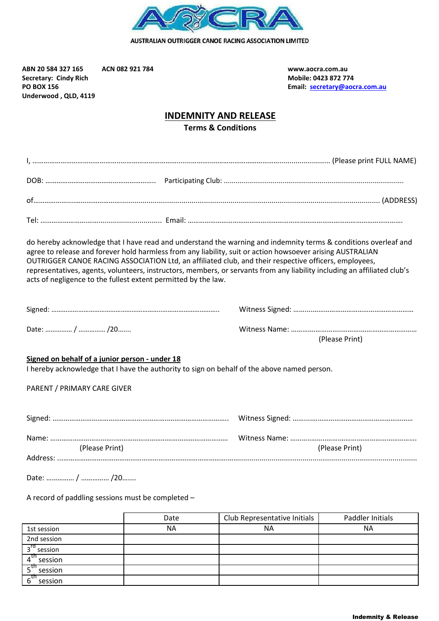

AUSTRALIAN OUTRIGGER CANOE RACING ASSOCIATION LIMITED

**ABN 20 584 327 165 ACN 082 921 784 www.aocra.com.au Secretary: Cindy Rich Mobile: 0423 872 774 Underwood , QLD, 4119** 

**PO BOX 156 Email: secretary@aocra.com.au** 

## **INDEMNITY AND RELEASE Terms & Conditions**

do hereby acknowledge that I have read and understand the warning and indemnity terms & conditions overleaf and agree to release and forever hold harmless from any liability, suit or action howsoever arising AUSTRALIAN OUTRIGGER CANOE RACING ASSOCIATION Ltd, an affiliated club, and their respective officers, employees, representatives, agents, volunteers, instructors, members, or servants from any liability including an affiliated club's acts of negligence to the fullest extent permitted by the law.

| Date:  /  /20 |                |
|---------------|----------------|
|               | (Please Print) |

## **Signed on behalf of a junior person - under 18**

I hereby acknowledge that I have the authority to sign on behalf of the above named person.

## PARENT / PRIMARY CARE GIVER

| (Please Print) | (Please Print) |
|----------------|----------------|
|                |                |

Date: …………… / …………… /20…....

A record of paddling sessions must be completed –

|                     | Date      | Club Representative Initials | Paddler Initials |
|---------------------|-----------|------------------------------|------------------|
| 1st session         | <b>NA</b> | ΝA                           | <b>NA</b>        |
| 2nd session         |           |                              |                  |
| $3^{ra}$<br>session |           |                              |                  |
| session             |           |                              |                  |
| session             |           |                              |                  |
| session<br>6        |           |                              |                  |